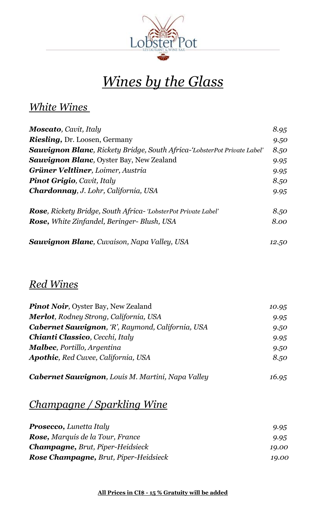

## *Wines by the Glass*

#### *White Wines*

| <b>Moscato</b> , Cavit, Italy                                                    | 8.95 |
|----------------------------------------------------------------------------------|------|
| <b>Riesling, Dr. Loosen, Germany</b>                                             | 9.50 |
| <b>Sauvignon Blanc</b> , Rickety Bridge, South Africa-'LobsterPot Private Label' | 8.50 |
| <b>Sauvignon Blanc</b> , Oyster Bay, New Zealand                                 | 9.95 |
| <b>Grüner Veltliner</b> , Loimer, Austria                                        | 9.95 |
| <b>Pinot Grigio, Cavit, Italy</b>                                                | 8.50 |
| Chardonnay, J. Lohr, California, USA                                             | 9.95 |
| <b>Rose</b> , Rickety Bridge, South Africa - 'LobsterPot Private Label'          | 8.50 |
| <b>Rose, White Zinfandel, Beringer- Blush, USA</b>                               | 8.00 |
|                                                                                  |      |

| <b>Sauvignon Blanc</b> , Cuvaison, Napa Valley, USA | 12.50 |
|-----------------------------------------------------|-------|
|-----------------------------------------------------|-------|

#### *Red Wines*

| <b>Pinot Noir, Oyster Bay, New Zealand</b>        | 10.95 |
|---------------------------------------------------|-------|
| <b>Merlot</b> , Rodney Strong, California, USA    | 9.95  |
| Cabernet Sauvignon, 'R', Raymond, California, USA | 9.50  |
| <b>Chianti Classico, Cecchi, Italy</b>            | 9.95  |
| <b>Malbec, Portillo, Argentina</b>                | 9.50  |
| <b>Apothic, Red Cuvee, California, USA</b>        | 8.50  |
|                                                   |       |

### *Cabernet Sauvignon, Louis M. Martini, Napa Valley 16.95*

#### *Champagne / Sparkling Wine*

| <b>Prosecco, Lunetta Italy</b>               | 9.95  |
|----------------------------------------------|-------|
| <b>Rose, Marquis de la Tour, France</b>      | 9.95  |
| <b>Champagne, Brut, Piper-Heidsieck</b>      | 19.00 |
| <b>Rose Champagne, Brut, Piper-Heidsieck</b> | 19.00 |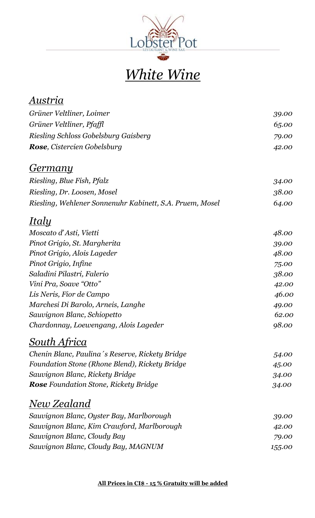

# *White Wine*

| Austria                                                  |        |
|----------------------------------------------------------|--------|
| Grüner Veltliner, Loimer                                 | 39.00  |
| Grüner Veltliner, Pfaffl                                 | 65.00  |
| Riesling Schloss Gobelsburg Gaisberg                     | 79.00  |
| <b>Rose</b> , Cistercien Gobelsburg                      | 42.00  |
| <u>Germany</u>                                           |        |
| Riesling, Blue Fish, Pfalz                               | 34.00  |
| Riesling, Dr. Loosen, Mosel                              | 38.00  |
| Riesling, Wehlener Sonnenuhr Kabinett, S.A. Pruem, Mosel | 64.00  |
| <u>Italy</u>                                             |        |
| Moscato d'Asti, Vietti                                   | 48.00  |
| Pinot Grigio, St. Margherita                             | 39.00  |
| Pinot Grigio, Alois Lageder                              | 48.00  |
| Pinot Grigio, Infine                                     | 75.00  |
| Saladini Pilastri, Falerio                               | 38.00  |
| Vini Pra, Soave "Otto"                                   | 42.00  |
| Lis Neris, Fior de Campo                                 | 46.00  |
| Marchesi Di Barolo, Arneis, Langhe                       | 49.00  |
| Sauvignon Blanc, Schiopetto                              | 62.00  |
| Chardonnay, Loewengang, Alois Lageder                    | 98.00  |
| <u>South Africa</u>                                      |        |
| Chenin Blanc, Paulina's Reserve, Rickety Bridge          | 54.00  |
| Foundation Stone (Rhone Blend), Rickety Bridge           | 45.00  |
| Sauvignon Blanc, Rickety Bridge                          | 34.00  |
| <b>Rose</b> Foundation Stone, Rickety Bridge             | 34.00  |
| <u>New Zealand</u>                                       |        |
| Sauvignon Blanc, Oyster Bay, Marlborough                 | 39.00  |
| Sauvignon Blanc, Kim Crawford, Marlborough               | 42.00  |
| Sauvignon Blanc, Cloudy Bay                              | 79.00  |
| Sauvignon Blanc, Cloudy Bay, MAGNUM                      | 155.00 |
|                                                          |        |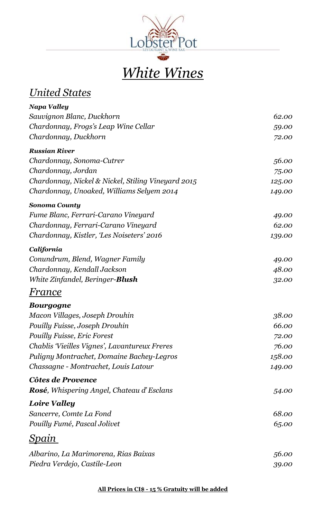

## *White Wines*

#### *United States*

| Napa Valley                                        |        |
|----------------------------------------------------|--------|
| Sauvignon Blanc, Duckhorn                          | 62.00  |
| Chardonnay, Frogs's Leap Wine Cellar               | 59.00  |
| Chardonnay, Duckhorn                               | 72.00  |
| <b>Russian River</b>                               |        |
| Chardonnay, Sonoma-Cutrer                          | 56.00  |
| Chardonnay, Jordan                                 | 75.00  |
| Chardonnay, Nickel & Nickel, Stiling Vineyard 2015 | 125.00 |
| Chardonnay, Unoaked, Williams Selyem 2014          | 149.00 |
| <b>Sonoma County</b>                               |        |
| Fume Blanc, Ferrari-Carano Vineyard                | 49.00  |
| Chardonnay, Ferrari-Carano Vineyard                | 62.00  |
| Chardonnay, Kistler, 'Les Noiseters' 2016          | 139.00 |
| California                                         |        |
| Conundrum, Blend, Wagner Family                    | 49.00  |
| Chardonnay, Kendall Jackson                        | 48.00  |
| White Zinfandel, Beringer- <b>Blush</b>            | 32.00  |
| France                                             |        |
| <b>Bourgogne</b>                                   |        |
| Macon Villages, Joseph Drouhin                     | 38.00  |
| Pouilly Fuisse, Joseph Drouhin                     | 66.00  |
| <b>Pouilly Fuisse, Eric Forest</b>                 | 72.00  |
| Chablis 'Vieilles Vignes', Lavantureux Freres      | 76.00  |
| Puligny Montrachet, Domaine Bachey-Legros          | 158.00 |
| Chassagne - Montrachet, Louis Latour               | 149.00 |
| Côtes de Provence                                  |        |
| <b>Rosé</b> , Whispering Angel, Chateau d'Esclans  | 54.00  |
| <b>Loire Valley</b>                                |        |
| Sancerre, Comte La Fond                            | 68.00  |
| Pouilly Fumé, Pascal Jolivet                       | 65.00  |
| <u>Spain</u>                                       |        |
| Albarino, La Marimorena, Rias Baixas               | 56.00  |
| Piedra Verdejo, Castile-Leon                       | 39.00  |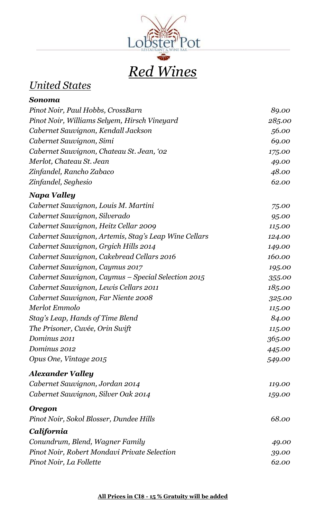

#### *United States*

| Sonoma                                                |        |
|-------------------------------------------------------|--------|
| Pinot Noir, Paul Hobbs, CrossBarn                     | 89.00  |
| Pinot Noir, Williams Selyem, Hirsch Vineyard          | 285.00 |
| Cabernet Sauvignon, Kendall Jackson                   | 56.00  |
| Cabernet Sauvignon, Simi                              | 69.00  |
| Cabernet Sauvignon, Chateau St. Jean, '02             | 175.00 |
| Merlot, Chateau St. Jean                              | 49.00  |
| Zinfandel, Rancho Zabaco                              | 48.00  |
| Zinfandel, Seghesio                                   | 62.00  |
| Napa Valley                                           |        |
| Cabernet Sauvignon, Louis M. Martini                  | 75.00  |
| Cabernet Sauvignon, Silverado                         | 95.00  |
| Cabernet Sauvignon, Heitz Cellar 2009                 | 115.00 |
| Cabernet Sauvignon, Artemis, Stag's Leap Wine Cellars | 124.00 |
| Cabernet Sauvignon, Grgich Hills 2014                 | 149.00 |
| Cabernet Sauvignon, Cakebread Cellars 2016            | 160.00 |
| Cabernet Sauvignon, Caymus 2017                       | 195.00 |
| Cabernet Sauvignon, Caymus – Special Selection 2015   | 355.00 |
| Cabernet Sauvignon, Lewis Cellars 2011                | 185.00 |
| Cabernet Sauvignon, Far Niente 2008                   | 325.00 |
| Merlot Emmolo                                         | 115.00 |
| Stag's Leap, Hands of Time Blend                      | 84.00  |
| The Prisoner, Cuvée, Orin Swift                       | 115.00 |
| Dominus 2011                                          | 365.00 |
| Dominus 2012                                          | 445.00 |
| Opus One, Vintage 2015                                | 549.00 |
| <b>Alexander Valley</b>                               |        |
| Cabernet Sauvignon, Jordan 2014                       | 119.00 |
| Cabernet Sauvignon, Silver Oak 2014                   | 159.00 |
| <b>Oregon</b>                                         |        |
| Pinot Noir, Sokol Blosser, Dundee Hills               | 68.00  |
| California                                            |        |
| Conundrum, Blend, Wagner Family                       | 49.00  |
| Pinot Noir, Robert Mondavi Private Selection          | 39.00  |
| Pinot Noir, La Follette                               | 62.00  |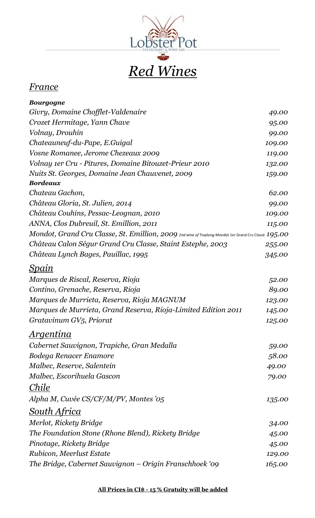

#### *France*

| <b>Bourgogne</b>                                                                                     |        |
|------------------------------------------------------------------------------------------------------|--------|
| Givry, Domaine Chofflet-Valdenaire                                                                   | 49.00  |
| Crozet Hermitage, Yann Chave                                                                         | 95.00  |
| Volnay, Drouhin                                                                                      | 99.00  |
| Chateauneuf-du-Pape, E.Guigal                                                                        | 109.00 |
| Vosne Romanee, Jerome Chezeaux 2009                                                                  | 119.00 |
| Volnay 1er Cru - Pitures, Domaine Bitouzet-Prieur 2010                                               | 132.00 |
| Nuits St. Georges, Domaine Jean Chauvenet, 2009                                                      | 159.00 |
| <b>Bordeaux</b>                                                                                      |        |
| Chateau Gachon,                                                                                      | 62.00  |
| Château Gloria, St. Julien, 2014                                                                     | 99.00  |
| Château Couhins, Pessac-Leognan, 2010                                                                | 109.00 |
| ANNA, Clos Dubreuil, St. Emillion, 2011                                                              | 115.00 |
| Mondot, Grand Cru Classe, St. Emillion, 2009 2nd wine of Troplong-Mondot 1er Grand Cru Classé 195.00 |        |
| Château Calon Ségur Grand Cru Classe, Staint Estephe, 2003                                           | 255.00 |
| Château Lynch Bages, Pauillac, 1995                                                                  | 345.00 |
| <u>Spain</u>                                                                                         |        |
| Marques de Riscal, Reserva, Rioja                                                                    | 52.00  |
| Contino, Grenache, Reserva, Rioja                                                                    | 89.00  |
| Marques de Murrieta, Reserva, Rioja MAGNUM                                                           | 123.00 |
| Marques de Murrieta, Grand Reserva, Rioja-Limited Edition 2011                                       | 145.00 |
| Gratavinum GV5, Priorat                                                                              | 125.00 |
| <u>Argentina</u>                                                                                     |        |
| Cabernet Sauvignon, Trapiche, Gran Medalla                                                           | 59.00  |
| Bodega Renacer Enamore                                                                               | 58.00  |
| Malbec, Reserve, Salentein                                                                           | 49.00  |
| Malbec, Escorihuela Gascon                                                                           | 79.00  |
| <i>Chile</i>                                                                                         |        |
| Alpha M, Cuvée CS/CF/M/PV, Montes '05                                                                | 135.00 |
| <u>South Africa</u>                                                                                  |        |
| Merlot, Rickety Bridge                                                                               | 34.00  |
| The Foundation Stone (Rhone Blend), Rickety Bridge                                                   | 45.00  |
| Pinotage, Rickety Bridge                                                                             | 45.00  |
| Rubicon, Meerlust Estate                                                                             | 129.00 |
| The Bridge, Cabernet Sauvignon – Origin Franschhoek '09                                              | 165.00 |
|                                                                                                      |        |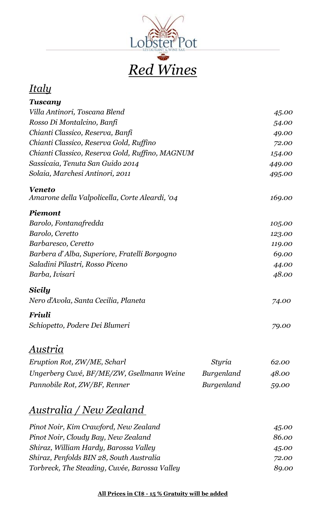

## *Italy*

| Tuscany                                         |        |
|-------------------------------------------------|--------|
| Villa Antinori, Toscana Blend                   | 45.00  |
| Rosso Di Montalcino, Banfi                      | 54.00  |
| Chianti Classico, Reserva, Banfi                | 49.00  |
| Chianti Classico, Reserva Gold, Ruffino         | 72.00  |
| Chianti Classico, Reserva Gold, Ruffino, MAGNUM | 154.00 |
| Sassicaia, Tenuta San Guido 2014                | 449.00 |
| Solaia, Marchesi Antinori, 2011                 | 495.00 |
| <b>Veneto</b>                                   |        |
| Amarone della Valpolicella, Corte Aleardi, '04  | 169.00 |
| <b>Piemont</b>                                  |        |
| Barolo, Fontanafredda                           | 105.00 |
| Barolo, Ceretto                                 | 123.00 |
| Barbaresco, Ceretto                             | 119.00 |
| Barbera d'Alba, Superiore, Fratelli Borgogno    | 69.00  |
| Saladini Pilastri, Rosso Piceno                 | 44.00  |
| Barba, Ivisari                                  | 48.00  |
| Sicily                                          |        |
| Nero d'Avola, Santa Cecilia, Planeta            | 74.00  |
| Friuli                                          |        |
| Schiopetto, Podere Dei Blumeri                  | 79.00  |
|                                                 |        |

#### *Austria*

| Eruption Rot, ZW/ME, Scharl               | Styria     | 62.00 |
|-------------------------------------------|------------|-------|
| Ungerberg Cuvé, BF/ME/ZW, Gsellmann Weine | Burgenland | 48.00 |
| Pannobile Rot, ZW/BF, Renner              | Burgenland | 59.00 |

### *Australia / New Zealand*

| Pinot Noir, Kim Crawford, New Zealand         | 45.00 |
|-----------------------------------------------|-------|
| Pinot Noir, Cloudy Bay, New Zealand           | 86.00 |
| Shiraz, William Hardy, Barossa Valley         | 45.00 |
| Shiraz, Penfolds BIN 28, South Australia      | 72.00 |
| Torbreck, The Steading, Cuvée, Barossa Valley | 89.00 |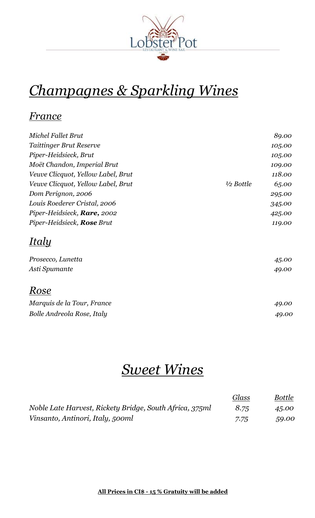

## *Champagnes & Sparkling Wines*

#### *France*

| <b>Michel Fallet Brut</b>           |                      | 89.00  |
|-------------------------------------|----------------------|--------|
| <b>Taittinger Brut Reserve</b>      |                      | 105.00 |
| Piper-Heidsieck, Brut               |                      | 105.00 |
| Moët Chandon, Imperial Brut         |                      | 109.00 |
| Veuve Clicquot, Yellow Label, Brut  |                      | 118.00 |
| Veuve Clicquot, Yellow Label, Brut  | $\frac{1}{2}$ Bottle | 65.00  |
| Dom Perignon, 2006                  |                      | 295.00 |
| Louis Roederer Cristal, 2006        |                      | 345.00 |
| Piper-Heidsieck, <b>Rare</b> , 2002 |                      | 425.00 |
| Piper-Heidsieck, <b>Rose</b> Brut   |                      | 119.00 |
| Italy                               |                      |        |
| Prosecco, Lunetta                   |                      | 45.00  |
| Asti Spumante                       |                      | 49.00  |
| Rose                                |                      |        |
| Marquis de la Tour, France          |                      | 49.00  |
| Bolle Andreola Rose, Italy          |                      | 49.00  |

## *Sweet Wines*

|                                                         | Glass | <b>Bottle</b> |
|---------------------------------------------------------|-------|---------------|
| Noble Late Harvest, Rickety Bridge, South Africa, 375ml | 8.75  | 45.00         |
| Vinsanto, Antinori, Italy, 500ml                        | 7.75  | 59.00         |